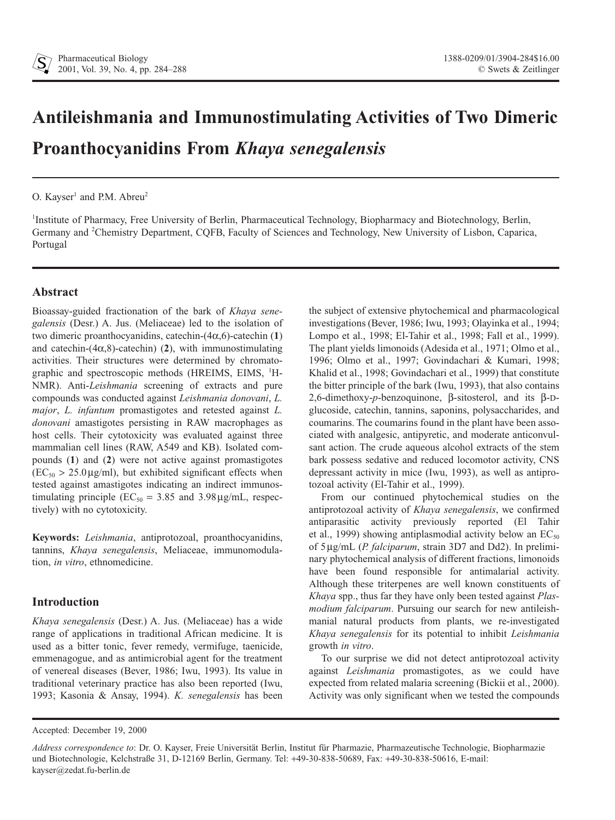# **Antileishmania and Immunostimulating Activities of Two Dimeric Proanthocyanidins From** *Khaya senegalensis*

# O. Kayser<sup>1</sup> and P.M. Abreu<sup>2</sup>

<sup>1</sup>Institute of Pharmacy, Free University of Berlin, Pharmaceutical Technology, Biopharmacy and Biotechnology, Berlin, Germany and <sup>2</sup>Chemistry Department, CQFB, Faculty of Sciences and Technology, New University of Lisbon, Caparica, Portugal

# **Abstract**

Bioassay-guided fractionation of the bark of *Khaya senegalensis* (Desr.) A. Jus. (Meliaceae) led to the isolation of two dimeric proanthocyanidins, catechin- $(4\alpha, 6)$ -catechin  $(1)$ and catechin- $(4\alpha, 8)$ -catechin) (2), with immunostimulating activities. Their structures were determined by chromatographic and spectroscopic methods (HREIMS, EIMS, <sup>1</sup>H-NMR). Anti-*Leishmania* screening of extracts and pure compounds was conducted against *Leishmania donovani*, *L. major*, *L. infantum* promastigotes and retested against *L. donovani* amastigotes persisting in RAW macrophages as host cells. Their cytotoxicity was evaluated against three mammalian cell lines (RAW, A549 and KB). Isolated compounds (**1**) and (**2**) were not active against promastigotes  $(EC_{50} > 25.0 \,\mu\text{g/ml})$ , but exhibited significant effects when tested against amastigotes indicating an indirect immunostimulating principle ( $EC_{50} = 3.85$  and  $3.98 \mu g/mL$ , respectively) with no cytotoxicity.

**Keywords:** *Leishmania*, antiprotozoal, proanthocyanidins, tannins, *Khaya senegalensis*, Meliaceae, immunomodulation, *in vitro*, ethnomedicine.

# **Introduction**

*Khaya senegalensis* (Desr.) A. Jus. (Meliaceae) has a wide range of applications in traditional African medicine. It is used as a bitter tonic, fever remedy, vermifuge, taenicide, emmenagogue, and as antimicrobial agent for the treatment of venereal diseases (Bever, 1986; Iwu, 1993). Its value in traditional veterinary practice has also been reported (Iwu, 1993; Kasonia & Ansay, 1994). *K. senegalensis* has been

the subject of extensive phytochemical and pharmacological investigations (Bever, 1986; Iwu, 1993; Olayinka et al., 1994; Lompo et al., 1998; El-Tahir et al., 1998; Fall et al., 1999). The plant yields limonoids (Adesida et al., 1971; Olmo et al., 1996; Olmo et al., 1997; Govindachari & Kumari, 1998; Khalid et al., 1998; Govindachari et al., 1999) that constitute the bitter principle of the bark (Iwu, 1993), that also contains 2,6-dimethoxy-*p*-benzoquinone,  $\beta$ -sitosterol, and its  $\beta$ -Dglucoside, catechin, tannins, saponins, polysaccharides, and coumarins. The coumarins found in the plant have been associated with analgesic, antipyretic, and moderate anticonvulsant action. The crude aqueous alcohol extracts of the stem bark possess sedative and reduced locomotor activity, CNS depressant activity in mice (Iwu, 1993), as well as antiprotozoal activity (El-Tahir et al., 1999).

From our continued phytochemical studies on the antiprotozoal activity of *Khaya senegalensis*, we confirmed antiparasitic activity previously reported (El Tahir et al., 1999) showing antiplasmodial activity below an  $EC_{50}$ of 5 µg/mL (*P. falciparum*, strain 3D7 and Dd2). In preliminary phytochemical analysis of different fractions, limonoids have been found responsible for antimalarial activity. Although these triterpenes are well known constituents of *Khaya* spp., thus far they have only been tested against *Plasmodium falciparum*. Pursuing our search for new antileishmanial natural products from plants, we re-investigated *Khaya senegalensis* for its potential to inhibit *Leishmania* growth *in vitro*.

To our surprise we did not detect antiprotozoal activity against *Leishmania* promastigotes, as we could have expected from related malaria screening (Bickii et al., 2000). Activity was only significant when we tested the compounds

Accepted: December 19, 2000

*Address correspondence to*: Dr. O. Kayser, Freie Universität Berlin, Institut für Pharmazie, Pharmazeutische Technologie, Biopharmazie und Biotechnologie, Kelchstraße 31, D-12169 Berlin, Germany. Tel: +49-30-838-50689, Fax: +49-30-838-50616, E-mail: kayser@zedat.fu-berlin.de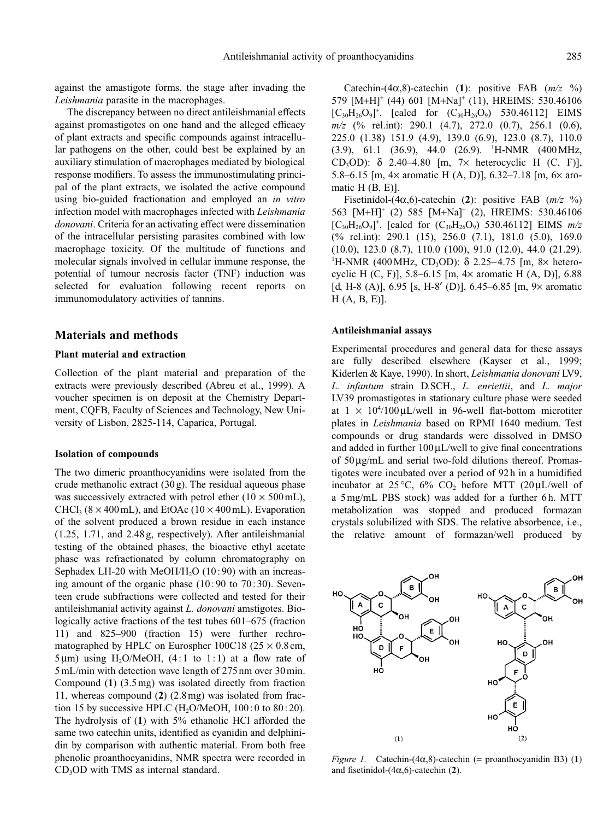against the amastigote forms, the stage after invading the *Leishmania* parasite in the macrophages.

The discrepancy between no direct antileishmanial effects against promastigotes on one hand and the alleged efficacy of plant extracts and specific compounds against intracellular pathogens on the other, could best be explained by an auxiliary stimulation of macrophages mediated by biological response modifiers. To assess the immunostimulating principal of the plant extracts, we isolated the active compound using bio-guided fractionation and employed an *in vitro* infection model with macrophages infected with *Leishmania donovani*. Criteria for an activating effect were dissemination of the intracellular persisting parasites combined with low macrophage toxicity. Of the multitude of functions and molecular signals involved in cellular immune response, the potential of tumour necrosis factor (TNF) induction was selected for evaluation following recent reports on immunomodulatory activities of tannins.

# **Materials and methods**

#### **Plant material and extraction**

Collection of the plant material and preparation of the extracts were previously described (Abreu et al., 1999). A voucher specimen is on deposit at the Chemistry Department, CQFB, Faculty of Sciences and Technology, New University of Lisbon, 2825-114, Caparica, Portugal.

#### **Isolation of compounds**

The two dimeric proanthocyanidins were isolated from the crude methanolic extract  $(30 g)$ . The residual aqueous phase was successively extracted with petrol ether  $(10 \times 500 \text{ mL})$ , CHCl<sub>3</sub> ( $8 \times 400$  mL), and EtOAc ( $10 \times 400$  mL). Evaporation of the solvent produced a brown residue in each instance (1.25, 1.71, and 2.48 g, respectively). After antileishmanial testing of the obtained phases, the bioactive ethyl acetate phase was refractionated by column chromatography on Sephadex LH-20 with MeOH/H<sub>2</sub>O (10:90) with an increasing amount of the organic phase  $(10:90 \text{ to } 70:30)$ . Seventeen crude subfractions were collected and tested for their antileishmanial activity against *L. donovani* amstigotes. Biologically active fractions of the test tubes 601–675 (fraction 11) and 825–900 (fraction 15) were further rechromatographed by HPLC on Eurospher 100C18 ( $25 \times 0.8$  cm,  $5 \mu m$ ) using H<sub>2</sub>O/MeOH, (4:1 to 1:1) at a flow rate of 5 mL/min with detection wave length of 275nm over 30min. Compound (**1**) (3.5 mg) was isolated directly from fraction 11, whereas compound (**2**) (2.8mg) was isolated from fraction 15 by successive HPLC (H<sub>2</sub>O/MeOH,  $100:0$  to  $80:20$ ). The hydrolysis of (**1**) with 5% ethanolic HCl afforded the same two catechin units, identified as cyanidin and delphinidin by comparison with authentic material. From both free phenolic proanthocyanidins, NMR spectra were recorded in CD<sub>3</sub>OD with TMS as internal standard.

Catechin- $(4\alpha,8)$ -catechin (1): positive FAB  $(m/z \ \%)$ 579 [M+H]<sup>+</sup> (44) 601 [M+Na]<sup>+</sup> (11), HREIMS: 530.46106  $[C_{30}H_{26}O_9]^+$ . [calcd for  $(C_{30}H_{26}O_9)$  530.46112] EIMS *m/z* (% rel.int): 290.1 (4.7), 272.0 (0.7), 256.1 (0.6), 225.0 (1.38) 151.9 (4.9), 139.0 (6.9), 123.0 (8.7), 110.0  $(3.9)$ , 61.1  $(36.9)$ , 44.0  $(26.9)$ . <sup>1</sup>H-NMR  $(400 \text{ MHz},$ CD<sub>3</sub>OD):  $\delta$  2.40–4.80 [m, 7× heterocyclic H (C, F)], 5.8–6.15 [m,  $4 \times$  aromatic H (A, D)], 6.32–7.18 [m,  $6 \times$  aromatic H (B, E)].

Fisetinidol-(4 $\alpha$ ,6)-catechin (2): positive FAB ( $m/z$  %) 563 [M+H]<sup>+</sup> (2) 585 [M+Na]<sup>+</sup> (2), HREIMS: 530.46106  $[C_{30}H_{26}O_9]^+$ . [calcd for  $(C_{30}H_{26}O_9)$  530.46112] EIMS  $m/z$ (% rel.int): 290.1 (15), 256.0 (7.1), 181.0 (5.0), 169.0 (10.0), 123.0 (8.7), 110.0 (100), 91.0 (12.0), 44.0 (21.29). <sup>1</sup>H-NMR (400 MHz, CD<sub>3</sub>OD): δ 2.25–4.75 [m, 8× heterocyclic H (C, F)], 5.8–6.15 [m, 4¥ aromatic H (A, D)], 6.88 [d, H-8 (A)], 6.95 [s, H-8' (D)], 6.45–6.85 [m, 9 $\times$  aromatic H (A, B, E)].

#### **Antileishmanial assays**

Experimental procedures and general data for these assays are fully described elsewhere (Kayser et al., 1999; Kiderlen & Kaye, 1990). In short, *Leishmania donovani* LV9, *L. infantum* strain D.SCH., *L. enriettii*, and *L. major* LV39 promastigotes in stationary culture phase were seeded at  $1 \times 10^{4}/100 \,\mu$ L/well in 96-well flat-bottom microtiter plates in *Leishmania* based on RPMI 1640 medium. Test compounds or drug standards were dissolved in DMSO and added in further  $100 \mu L/well$  to give final concentrations of  $50\,\mu\text{g/mL}$  and serial two-fold dilutions thereof. Promastigotes were incubated over a period of 92h in a humidified incubator at  $25^{\circ}$ C,  $6\%$  CO<sub>2</sub> before MTT (20µL/well of a 5 mg/mL PBS stock) was added for a further 6h. MTT metabolization was stopped and produced formazan crystals solubilized with SDS. The relative absorbence, i.e., the relative amount of formazan/well produced by



*Figure 1.* Catechin-(4 $\alpha$ ,8)-catechin (= proanthocyanidin B3) (1) and fisetinidol- $(4\alpha, 6)$ -catechin  $(2)$ .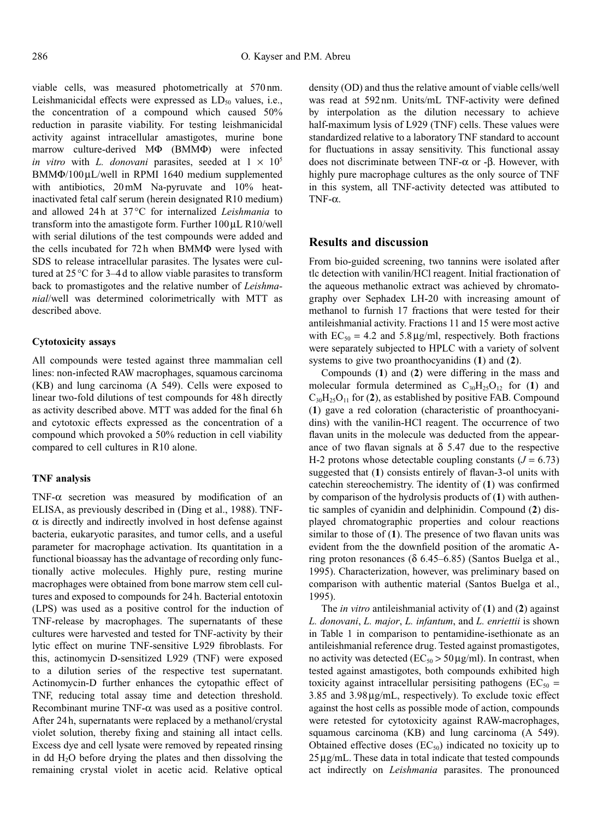viable cells, was measured photometrically at 570nm. Leishmanicidal effects were expressed as  $LD_{50}$  values, i.e., the concentration of a compound which caused 50% reduction in parasite viability. For testing leishmanicidal activity against intracellular amastigotes, murine bone marrow culture-derived  $M\Phi$  (BMM $\Phi$ ) were infected *in vitro* with *L. donovani* parasites, seeded at  $1 \times 10^5$  $BMM\Phi/100$ uL/well in RPMI 1640 medium supplemented with antibiotics, 20 mM Na-pyruvate and 10% heatinactivated fetal calf serum (herein designated R10 medium) and allowed 24 h at 37°C for internalized *Leishmania* to transform into the amastigote form. Further  $100 \mu L$  R $10$ /well with serial dilutions of the test compounds were added and the cells incubated for 72h when BMM $\Phi$  were lysed with SDS to release intracellular parasites. The lysates were cultured at 25 °C for 3–4 d to allow viable parasites to transform back to promastigotes and the relative number of *Leishmanial*/well was determined colorimetrically with MTT as described above.

# **Cytotoxicity assays**

All compounds were tested against three mammalian cell lines: non-infected RAW macrophages, squamous carcinoma (KB) and lung carcinoma (A 549). Cells were exposed to linear two-fold dilutions of test compounds for 48h directly as activity described above. MTT was added for the final 6 h and cytotoxic effects expressed as the concentration of a compound which provoked a 50% reduction in cell viability compared to cell cultures in R10 alone.

#### **TNF analysis**

TNF- $\alpha$  secretion was measured by modification of an ELISA, as previously described in (Ding et al., 1988). TNF- $\alpha$  is directly and indirectly involved in host defense against bacteria, eukaryotic parasites, and tumor cells, and a useful parameter for macrophage activation. Its quantitation in a functional bioassay has the advantage of recording only functionally active molecules. Highly pure, resting murine macrophages were obtained from bone marrow stem cell cultures and exposed to compounds for 24 h. Bacterial entotoxin (LPS) was used as a positive control for the induction of TNF-release by macrophages. The supernatants of these cultures were harvested and tested for TNF-activity by their lytic effect on murine TNF-sensitive L929 fibroblasts. For this, actinomycin D-sensitized L929 (TNF) were exposed to a dilution series of the respective test supernatant. Actinomycin-D further enhances the cytopathic effect of TNF, reducing total assay time and detection threshold. Recombinant murine  $TNF-\alpha$  was used as a positive control. After 24 h, supernatants were replaced by a methanol/crystal violet solution, thereby fixing and staining all intact cells. Excess dye and cell lysate were removed by repeated rinsing in dd  $H<sub>2</sub>O$  before drying the plates and then dissolving the remaining crystal violet in acetic acid. Relative optical

density (OD) and thus the relative amount of viable cells/well was read at 592nm. Units/mL TNF-activity were defined by interpolation as the dilution necessary to achieve half-maximum lysis of L929 (TNF) cells. These values were standardized relative to a laboratory TNF standard to account for fluctuations in assay sensitivity. This functional assay does not discriminate between TNF- $\alpha$  or - $\beta$ . However, with highly pure macrophage cultures as the only source of TNF in this system, all TNF-activity detected was attibuted to  $TNF-\alpha$ .

### **Results and discussion**

From bio-guided screening, two tannins were isolated after tlc detection with vanilin/HCl reagent. Initial fractionation of the aqueous methanolic extract was achieved by chromatography over Sephadex LH-20 with increasing amount of methanol to furnish 17 fractions that were tested for their antileishmanial activity. Fractions 11 and 15 were most active with  $EC_{50} = 4.2$  and  $5.8 \mu g/ml$ , respectively. Both fractions were separately subjected to HPLC with a variety of solvent systems to give two proanthocyanidins (**1**) and (**2**).

Compounds (**1**) and (**2**) were differing in the mass and molecular formula determined as  $C_{30}H_{25}O_{12}$  for (1) and  $C_{30}H_{25}O_{11}$  for (2), as established by positive FAB. Compound (**1**) gave a red coloration (characteristic of proanthocyanidins) with the vanilin-HCl reagent. The occurrence of two flavan units in the molecule was deducted from the appearance of two flavan signals at  $\delta$  5.47 due to the respective H-2 protons whose detectable coupling constants  $(J = 6.73)$ suggested that (**1**) consists entirely of flavan-3-ol units with catechin stereochemistry. The identity of (**1**) was confirmed by comparison of the hydrolysis products of (**1**) with authentic samples of cyanidin and delphinidin. Compound (**2**) displayed chromatographic properties and colour reactions similar to those of (**1**). The presence of two flavan units was evident from the the downfield position of the aromatic Aring proton resonances ( $\delta$  6.45–6.85) (Santos Buelga et al., 1995). Characterization, however, was preliminary based on comparison with authentic material (Santos Buelga et al., 1995).

The *in vitro* antileishmanial activity of (**1**) and (**2**) against *L. donovani*, *L. major*, *L. infantum*, and *L. enriettii* is shown in Table 1 in comparison to pentamidine-isethionate as an antileishmanial reference drug. Tested against promastigotes, no activity was detected ( $EC_{50} > 50 \mu g/ml$ ). In contrast, when tested against amastigotes, both compounds exhibited high toxicity against intracellular persisiting pathogens ( $EC_{50}$  =  $3.85$  and  $3.98 \mu$ g/mL, respectively). To exclude toxic effect against the host cells as possible mode of action, compounds were retested for cytotoxicity against RAW-macrophages, squamous carcinoma (KB) and lung carcinoma (A 549). Obtained effective doses  $(EC_{50})$  indicated no toxicity up to  $25 \mu g/mL$ . These data in total indicate that tested compounds act indirectly on *Leishmania* parasites. The pronounced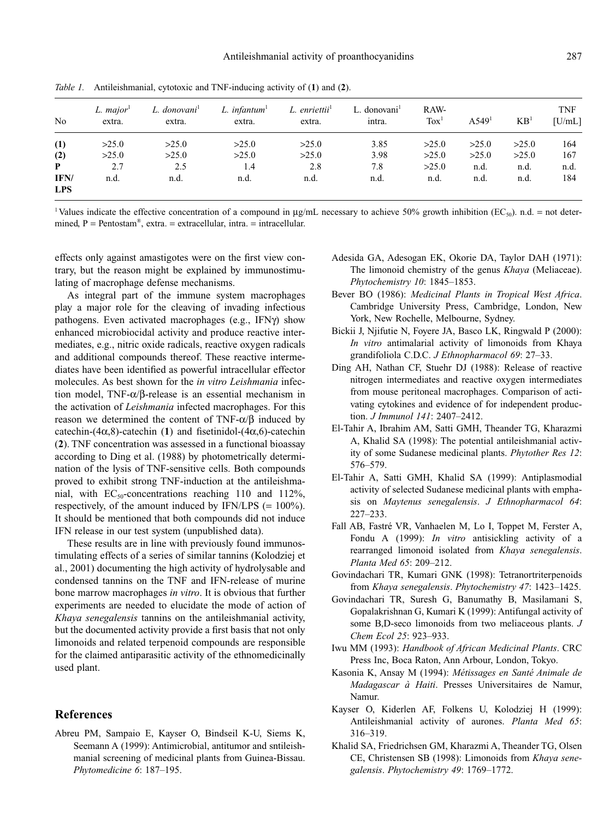| N <sub>0</sub>     | L. $major1$<br>extra. | L. donovani <sup>1</sup><br>extra. | L. infantum <sup>1</sup><br>extra. | L. enriettii <sup>1</sup><br>extra. | L. donovani <sup>1</sup><br>intra. | RAW-<br>$T\alpha x^1$ | A549 <sup>1</sup> | KB <sup>1</sup> | <b>TNF</b><br>[U/mL] |
|--------------------|-----------------------|------------------------------------|------------------------------------|-------------------------------------|------------------------------------|-----------------------|-------------------|-----------------|----------------------|
| (1)                | >25.0                 | >25.0                              | >25.0                              | >25.0                               | 3.85                               | >25.0                 | >25.0             | >25.0           | 164                  |
| (2)                | >25.0                 | >25.0                              | >25.0                              | >25.0                               | 3.98                               | >25.0                 | >25.0             | >25.0           | 167                  |
| P                  | 2.7                   | 2.5                                | 1.4                                | 2.8                                 | 7.8                                | >25.0                 | n.d.              | n.d.            | n.d.                 |
| IFN/<br><b>LPS</b> | n.d.                  | n.d.                               | n.d.                               | n.d.                                | n.d.                               | n.d.                  | n.d.              | n.d.            | 184                  |

*Table 1.* Antileishmanial, cytotoxic and TNF-inducing activity of (**1**) and (**2**).

<sup>1</sup>Values indicate the effective concentration of a compound in  $\mu$ g/mL necessary to achieve 50% growth inhibition (EC<sub>50</sub>). n.d. = not determined,  $P = Pentostam^{\circledast}$ , extra. = extracellular, intra. = intracellular.

effects only against amastigotes were on the first view contrary, but the reason might be explained by immunostimulating of macrophage defense mechanisms.

As integral part of the immune system macrophages play a major role for the cleaving of invading infectious pathogens. Even activated macrophages (e.g., IFN $\gamma$ ) show enhanced microbiocidal activity and produce reactive intermediates, e.g., nitric oxide radicals, reactive oxygen radicals and additional compounds thereof. These reactive intermediates have been identified as powerful intracellular effector molecules. As best shown for the *in vitro Leishmania* infection model,  $TNF-\alpha/\beta$ -release is an essential mechanism in the activation of *Leishmania* infected macrophages. For this reason we determined the content of TNF- $\alpha/\beta$  induced by catechin- $(4\alpha,8)$ -catechin (1) and fisetinidol- $(4\alpha,6)$ -catechin (**2**). TNF concentration was assessed in a functional bioassay according to Ding et al. (1988) by photometrically determination of the lysis of TNF-sensitive cells. Both compounds proved to exhibit strong TNF-induction at the antileishmanial, with  $EC_{50}$ -concentrations reaching 110 and 112%, respectively, of the amount induced by IFN/LPS  $(= 100\%)$ . It should be mentioned that both compounds did not induce IFN release in our test system (unpublished data).

These results are in line with previously found immunostimulating effects of a series of similar tannins (Kolodziej et al., 2001) documenting the high activity of hydrolysable and condensed tannins on the TNF and IFN-release of murine bone marrow macrophages *in vitro*. It is obvious that further experiments are needed to elucidate the mode of action of *Khaya senegalensis* tannins on the antileishmanial activity, but the documented activity provide a first basis that not only limonoids and related terpenoid compounds are responsible for the claimed antiparasitic activity of the ethnomedicinally used plant.

# **References**

Abreu PM, Sampaio E, Kayser O, Bindseil K-U, Siems K, Seemann A (1999): Antimicrobial, antitumor and sntileishmanial screening of medicinal plants from Guinea-Bissau. *Phytomedicine 6*: 187–195.

- Adesida GA, Adesogan EK, Okorie DA, Taylor DAH (1971): The limonoid chemistry of the genus *Khaya* (Meliaceae). *Phytochemistry 10*: 1845–1853.
- Bever BO (1986): *Medicinal Plants in Tropical West Africa*. Cambridge University Press, Cambridge, London, New York, New Rochelle, Melbourne, Sydney.
- Bickii J, Njifutie N, Foyere JA, Basco LK, Ringwald P (2000): *In vitro* antimalarial activity of limonoids from Khaya grandifoliola C.D.C. *J Ethnopharmacol 69*: 27–33.
- Ding AH, Nathan CF, Stuehr DJ (1988): Release of reactive nitrogen intermediates and reactive oxygen intermediates from mouse peritoneal macrophages. Comparison of activating cytokines and evidence of for independent production. *J Immunol 141*: 2407–2412.
- El-Tahir A, Ibrahim AM, Satti GMH, Theander TG, Kharazmi A, Khalid SA (1998): The potential antileishmanial activity of some Sudanese medicinal plants. *Phytother Res 12*: 576–579.
- El-Tahir A, Satti GMH, Khalid SA (1999): Antiplasmodial activity of selected Sudanese medicinal plants with emphasis on *Maytenus senegalensis*. *J Ethnopharmacol 64*: 227–233.
- Fall AB, Fastré VR, Vanhaelen M, Lo I, Toppet M, Ferster A, Fondu A (1999): *In vitro* antisickling activity of a rearranged limonoid isolated from *Khaya senegalensis*. *Planta Med 65*: 209–212.
- Govindachari TR, Kumari GNK (1998): Tetranortriterpenoids from *Khaya senegalensis*. *Phytochemistry 47*: 1423–1425.
- Govindachari TR, Suresh G, Banumathy B, Masilamani S, Gopalakrishnan G, Kumari K (1999): Antifungal activity of some B,D-seco limonoids from two meliaceous plants. *J Chem Ecol 25*: 923–933.
- Iwu MM (1993): *Handbook of African Medicinal Plants*. CRC Press Inc, Boca Raton, Ann Arbour, London, Tokyo.
- Kasonia K, Ansay M (1994): *Métissages en Santé Animale de Madagascar à Haiti*. Presses Universitaires de Namur, Namur.
- Kayser O, Kiderlen AF, Folkens U, Kolodziej H (1999): Antileishmanial activity of aurones. *Planta Med 65*: 316–319.
- Khalid SA, Friedrichsen GM, Kharazmi A, Theander TG, Olsen CE, Christensen SB (1998): Limonoids from *Khaya senegalensis*. *Phytochemistry 49*: 1769–1772.